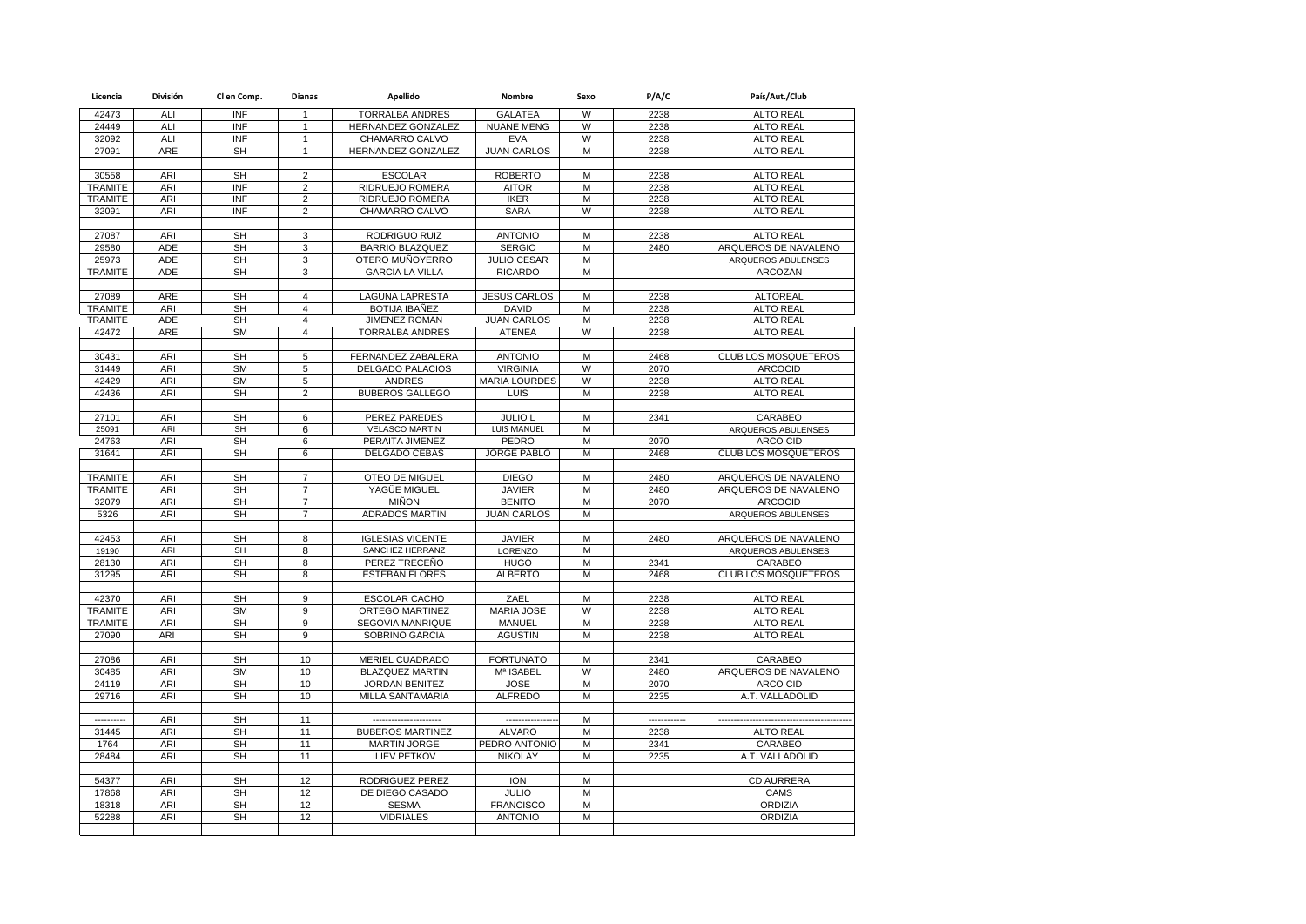| Licencia                         | División                 | Cl en Comp.            | Dianas                           | Apellido                                  | Nombre                              | Sexo   | P/A/C                | País/Aut./Club                         |
|----------------------------------|--------------------------|------------------------|----------------------------------|-------------------------------------------|-------------------------------------|--------|----------------------|----------------------------------------|
| 42473                            | ALI                      | INF                    | 1                                | <b>TORRALBA ANDRES</b>                    | <b>GALATEA</b>                      | W      | 2238                 | <b>ALTO REAL</b>                       |
| 24449                            | ALI                      | <b>INF</b>             | $\mathbf{1}$                     | HERNANDEZ GONZALEZ                        | <b>NUANE MENG</b>                   | W      | 2238                 | <b>ALTO REAL</b>                       |
| 32092                            | ALI                      | <b>INF</b>             | $\mathbf{1}$                     | CHAMARRO CALVO                            | <b>EVA</b>                          | W      | 2238                 | <b>ALTO REAL</b>                       |
| 27091                            | ARE                      | <b>SH</b>              | $\mathbf{1}$                     | HERNANDEZ GONZALEZ                        | <b>JUAN CARLOS</b>                  | М      | 2238                 | <b>ALTO REAL</b>                       |
|                                  |                          |                        |                                  |                                           |                                     |        |                      |                                        |
| 30558                            | <b>ARI</b>               | <b>SH</b>              | $\overline{2}$                   | <b>ESCOLAR</b>                            | <b>ROBERTO</b>                      | M      | 2238                 | <b>ALTO REAL</b>                       |
| <b>TRAMITE</b>                   | <b>ARI</b>               | INF                    | $\overline{c}$                   | RIDRUEJO ROMERA                           | <b>AITOR</b>                        | M      | 2238                 | <b>ALTO REAL</b>                       |
| <b>TRAMITE</b>                   | ARI                      | INF                    | $\overline{2}$                   | RIDRUEJO ROMERA                           | <b>IKER</b>                         | M      | 2238                 | <b>ALTO REAL</b>                       |
| 32091                            | ARI                      | <b>INF</b>             | $\overline{2}$                   | CHAMARRO CALVO                            | <b>SARA</b>                         | W      | 2238                 | <b>ALTO REAL</b>                       |
|                                  |                          |                        |                                  |                                           |                                     |        |                      |                                        |
| 27087                            | <b>ARI</b>               | <b>SH</b>              | 3                                | <b>RODRIGUO RUIZ</b>                      | <b>ANTONIO</b>                      | M      | 2238                 | <b>ALTO REAL</b>                       |
| 29580                            | <b>ADE</b>               | <b>SH</b>              | $\overline{3}$                   | <b>BARRIO BLAZQUEZ</b>                    | <b>SERGIO</b><br><b>JULIO CESAR</b> | M<br>M | 2480                 | ARQUEROS DE NAVALENO                   |
| 25973                            | <b>ADE</b><br><b>ADE</b> | <b>SH</b><br><b>SH</b> | 3<br>3                           | OTERO MUÑOYERRO<br><b>GARCIA LA VILLA</b> | <b>RICARDO</b>                      | M      |                      | ARQUEROS ABULENSES<br>ARCOZAN          |
| <b>TRAMITE</b>                   |                          |                        |                                  |                                           |                                     |        |                      |                                        |
| 27089                            | ARE                      | <b>SH</b>              | 4                                | <b>LAGUNA LAPRESTA</b>                    | <b>JESUS CARLOS</b>                 | M      | 2238                 | <b>ALTOREAL</b>                        |
| <b>TRAMITE</b>                   | ARI                      | <b>SH</b>              | $\overline{4}$                   | <b>BOTIJA IBAÑEZ</b>                      | <b>DAVID</b>                        | M      | 2238                 | <b>ALTO REAL</b>                       |
| <b>TRAMITE</b>                   | ADE                      | <b>SH</b>              | $\overline{4}$                   | <b>JIMENEZ ROMAN</b>                      | <b>JUAN CARLOS</b>                  | M      | 2238                 | <b>ALTO REAL</b>                       |
| 42472                            | ARE                      | <b>SM</b>              | $\overline{4}$                   | <b>TORRALBA ANDRES</b>                    | <b>ATENEA</b>                       | W      | 2238                 | <b>ALTO REAL</b>                       |
|                                  |                          |                        |                                  |                                           |                                     |        |                      |                                        |
| 30431                            | <b>ARI</b>               | <b>SH</b>              | $\overline{5}$                   | FERNANDEZ ZABALERA                        | <b>ANTONIO</b>                      | M      | 2468                 | <b>CLUB LOS MOSQUETEROS</b>            |
| 31449                            | ARI                      | <b>SM</b>              | 5                                | DELGADO PALACIOS                          | <b>VIRGINIA</b>                     | W      | 2070                 | <b>ARCOCID</b>                         |
| 42429                            | ARI                      | <b>SM</b>              | 5                                | <b>ANDRES</b>                             | <b>MARIA LOURDES</b>                | W      | 2238                 | <b>ALTO REAL</b>                       |
| 42436                            | ARI                      | SH                     | $\overline{2}$                   | <b>BUBEROS GALLEGO</b>                    | LUIS                                | M      | 2238                 | <b>ALTO REAL</b>                       |
|                                  |                          |                        |                                  |                                           |                                     |        |                      |                                        |
| 27101                            | ARI                      | <b>SH</b>              | 6                                | <b>PEREZ PAREDES</b>                      | <b>JULIO L</b>                      | M      | 2341                 | <b>CARABEO</b>                         |
| 25091                            | ARI                      | <b>SH</b>              | 6                                | <b>VELASCO MARTIN</b>                     | LUIS MANUEL                         | M      |                      | ARQUEROS ABULENSES                     |
| 24763                            | <b>ARI</b>               | <b>SH</b>              | 6                                | PERAITA JIMENEZ                           | <b>PEDRO</b>                        | M      | 2070                 | ARCO CID                               |
| 31641                            | <b>ARI</b>               | <b>SH</b>              | 6                                | <b>DELGADO CEBAS</b>                      | <b>JORGE PABLO</b>                  | M      | 2468                 | <b>CLUB LOS MOSQUETEROS</b>            |
|                                  |                          |                        |                                  |                                           |                                     |        |                      |                                        |
| <b>TRAMITE</b><br><b>TRAMITE</b> | ARI<br>ARI               | <b>SH</b><br><b>SH</b> | $\overline{7}$<br>$\overline{7}$ | OTEO DE MIGUEL                            | <b>DIEGO</b><br><b>JAVIER</b>       | M<br>M | 2480<br>2480         | ARQUEROS DE NAVALENO                   |
| 32079                            | ARI                      | <b>SH</b>              | $\overline{7}$                   | YAGÜE MIGUEL<br><b>MIÑON</b>              | <b>BENITO</b>                       | M      | 2070                 | ARQUEROS DE NAVALENO<br><b>ARCOCID</b> |
| 5326                             | <b>ARI</b>               | <b>SH</b>              | $\overline{7}$                   | <b>ADRADOS MARTIN</b>                     | <b>JUAN CARLOS</b>                  | M      |                      | ARQUEROS ABULENSES                     |
|                                  |                          |                        |                                  |                                           |                                     |        |                      |                                        |
| 42453                            | <b>ARI</b>               | SH                     | 8                                | <b>IGLESIAS VICENTE</b>                   | <b>JAVIER</b>                       | M      | 2480                 | ARQUEROS DE NAVALENO                   |
| 19190                            | ARI                      | <b>SH</b>              | 8                                | SANCHEZ HERRANZ                           | LORENZO                             | M      |                      | ARQUEROS ABULENSES                     |
| 28130                            | <b>ARI</b>               | <b>SH</b>              | 8                                | PEREZ TRECEÑO                             | <b>HUGO</b>                         | M      | 2341                 | CARABEO                                |
| 31295                            | ARI                      | <b>SH</b>              | 8                                | <b>ESTEBAN FLORES</b>                     | <b>ALBERTO</b>                      | М      | 2468                 | CLUB LOS MOSQUETEROS                   |
|                                  |                          |                        |                                  |                                           |                                     |        |                      |                                        |
| 42370                            | ARI                      | <b>SH</b>              | 9                                | <b>ESCOLAR CACHO</b>                      | ZAEL                                | M      | 2238                 | <b>ALTO REAL</b>                       |
| <b>TRAMITE</b>                   | ARI                      | <b>SM</b>              | 9                                | <b>ORTEGO MARTINEZ</b>                    | <b>MARIA JOSE</b>                   | W      | 2238                 | <b>ALTO REAL</b>                       |
| <b>TRAMITE</b>                   | <b>ARI</b>               | <b>SH</b>              | $\overline{9}$                   | <b>SEGOVIA MANRIQUE</b>                   | <b>MANUEL</b>                       | M      | 2238                 | <b>ALTO REAL</b>                       |
| 27090                            | <b>ARI</b>               | <b>SH</b>              | $\overline{9}$                   | SOBRINO GARCIA                            | <b>AGUSTIN</b>                      | M      | 2238                 | <b>ALTO REAL</b>                       |
|                                  |                          |                        |                                  |                                           |                                     |        |                      |                                        |
| 27086                            | <b>ARI</b>               | <b>SH</b>              | 10                               | MERIEL CUADRADO                           | <b>FORTUNATO</b>                    | M      | 2341                 | CARABEO                                |
| 30485                            | ARI                      | <b>SM</b>              | 10                               | <b>BLAZQUEZ MARTIN</b>                    | Mª ISABEL                           | W      | 2480                 | ARQUEROS DE NAVALENO                   |
| 24119                            | ARI                      | <b>SH</b><br><b>SH</b> | 10<br>10                         | <b>JORDAN BENITEZ</b>                     | <b>JOSE</b><br><b>ALFREDO</b>       | M      | 2070                 | <b>ARCO CID</b><br>A.T. VALLADOLID     |
| 29716                            | ARI                      |                        |                                  | MILLA SANTAMARIA                          |                                     | M      | 2235                 |                                        |
| ----------                       | ARI                      | <b>SH</b>              |                                  | ----------------------                    | --------------                      | M      |                      | --------------------------             |
| 31445                            | <b>ARI</b>               | <b>SH</b>              | 11<br>11                         | <b>BUBEROS MARTINEZ</b>                   | <b>ALVARO</b>                       | M      | ------------<br>2238 | <b>ALTO REAL</b>                       |
| 1764                             | <b>ARI</b>               | <b>SH</b>              | 11                               | <b>MARTIN JORGE</b>                       | PEDRO ANTONIO                       | M      | 2341                 | CARABEO                                |
| 28484                            | ARI                      | <b>SH</b>              | 11                               | <b>ILIEV PETKOV</b>                       | <b>NIKOLAY</b>                      | M      | 2235                 | A.T. VALLADOLID                        |
|                                  |                          |                        |                                  |                                           |                                     |        |                      |                                        |
| 54377                            | <b>ARI</b>               | SH                     | 12                               | RODRIGUEZ PEREZ                           | <b>ION</b>                          | M      |                      | <b>CD AURRERA</b>                      |
| 17868                            | ARI                      | <b>SH</b>              | 12                               | DE DIEGO CASADO                           | <b>JULIO</b>                        | M      |                      | CAMS                                   |
| 18318                            | <b>ARI</b>               | <b>SH</b>              | 12                               | <b>SESMA</b>                              | <b>FRANCISCO</b>                    | M      |                      | ORDIZIA                                |
| 52288                            | ARI                      | <b>SH</b>              | 12                               | <b>VIDRIALES</b>                          | <b>ANTONIO</b>                      | M      |                      | ORDIZIA                                |
|                                  |                          |                        |                                  |                                           |                                     |        |                      |                                        |
|                                  |                          |                        |                                  |                                           |                                     |        |                      |                                        |